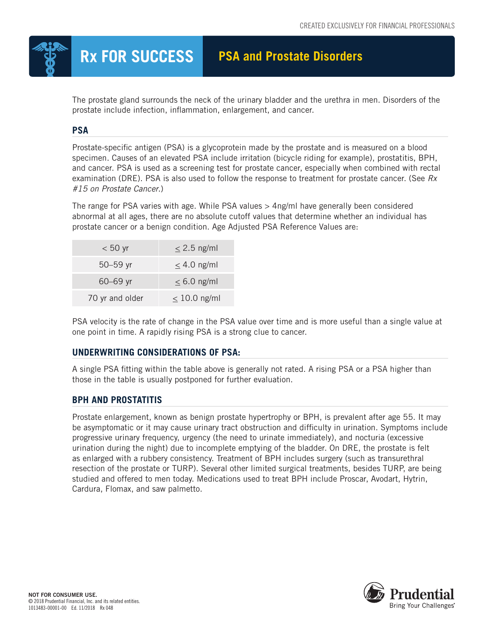

# **Rx FOR SUCCESS PSA and Prostate Disorders**

The prostate gland surrounds the neck of the urinary bladder and the urethra in men. Disorders of the prostate include infection, inflammation, enlargement, and cancer.

# **PSA**

Prostate-specific antigen (PSA) is a glycoprotein made by the prostate and is measured on a blood specimen. Causes of an elevated PSA include irritation (bicycle riding for example), prostatitis, BPH, and cancer. PSA is used as a screening test for prostate cancer, especially when combined with rectal examination (DRE). PSA is also used to follow the response to treatment for prostate cancer. (See *Rx #15 on Prostate Cancer*.)

The range for PSA varies with age. While PSA values > 4ng/ml have generally been considered abnormal at all ages, there are no absolute cutoff values that determine whether an individual has prostate cancer or a benign condition. Age Adjusted PSA Reference Values are:

| $< 50$ yr       | $\leq$ 2.5 ng/ml  |
|-----------------|-------------------|
| $50 - 59$ yr    | $\leq$ 4.0 ng/ml  |
| $60 - 69$ yr    | $\leq 6.0$ ng/ml  |
| 70 yr and older | $\leq 10.0$ ng/ml |

PSA velocity is the rate of change in the PSA value over time and is more useful than a single value at one point in time. A rapidly rising PSA is a strong clue to cancer.

# **UNDERWRITING CONSIDERATIONS OF PSA:**

A single PSA fitting within the table above is generally not rated. A rising PSA or a PSA higher than those in the table is usually postponed for further evaluation.

## **BPH AND PROSTATITIS**

Prostate enlargement, known as benign prostate hypertrophy or BPH, is prevalent after age 55. It may be asymptomatic or it may cause urinary tract obstruction and difficulty in urination. Symptoms include progressive urinary frequency, urgency (the need to urinate immediately), and nocturia (excessive urination during the night) due to incomplete emptying of the bladder. On DRE, the prostate is felt as enlarged with a rubbery consistency. Treatment of BPH includes surgery (such as transurethral resection of the prostate or TURP). Several other limited surgical treatments, besides TURP, are being studied and offered to men today. Medications used to treat BPH include Proscar, Avodart, Hytrin, Cardura, Flomax, and saw palmetto.

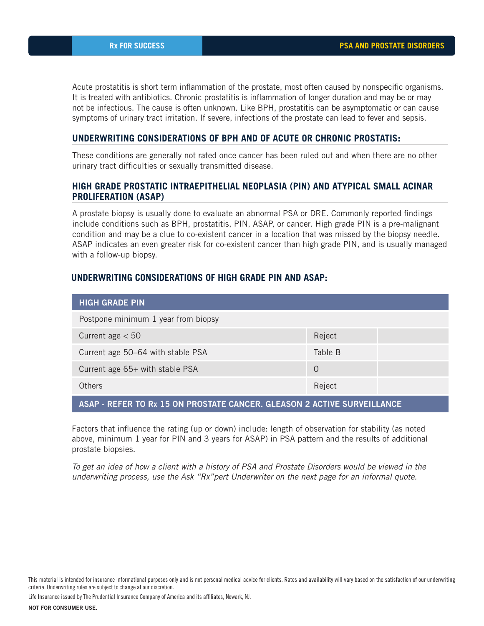Acute prostatitis is short term inflammation of the prostate, most often caused by nonspecific organisms. It is treated with antibiotics. Chronic prostatitis is inflammation of longer duration and may be or may not be infectious. The cause is often unknown. Like BPH, prostatitis can be asymptomatic or can cause symptoms of urinary tract irritation. If severe, infections of the prostate can lead to fever and sepsis.

#### **UNDERWRITING CONSIDERATIONS OF BPH AND OF ACUTE OR CHRONIC PROSTATIS:**

These conditions are generally not rated once cancer has been ruled out and when there are no other urinary tract difficulties or sexually transmitted disease.

#### **HIGH GRADE PROSTATIC INTRAEPITHELIAL NEOPLASIA (PIN) AND ATYPICAL SMALL ACINAR PROLIFERATION (ASAP)**

A prostate biopsy is usually done to evaluate an abnormal PSA or DRE. Commonly reported findings include conditions such as BPH, prostatitis, PIN, ASAP, or cancer. High grade PIN is a pre-malignant condition and may be a clue to co-existent cancer in a location that was missed by the biopsy needle. ASAP indicates an even greater risk for co-existent cancer than high grade PIN, and is usually managed with a follow-up biopsy.

#### **UNDERWRITING CONSIDERATIONS OF HIGH GRADE PIN AND ASAP:**

| <b>HIGH GRADE PIN</b>               |          |  |
|-------------------------------------|----------|--|
| Postpone minimum 1 year from biopsy |          |  |
| Current age $< 50$                  | Reject   |  |
| Current age 50-64 with stable PSA   | Table B  |  |
| Current age 65+ with stable PSA     | $\Omega$ |  |
| <b>Others</b>                       | Reject   |  |

## ASAP - REFER TO Rx 15 ON PROSTATE CANCER. GLEASON 2 ACTIVE SURVEILLANCE

Factors that influence the rating (up or down) include: length of observation for stability (as noted above, minimum 1 year for PIN and 3 years for ASAP) in PSA pattern and the results of additional prostate biopsies.

*To get an idea of how a client with a history of PSA and Prostate Disorders would be viewed in the underwriting process, use the Ask "Rx"pert Underwriter on the next page for an informal quote.*

This material is intended for insurance informational purposes only and is not personal medical advice for clients. Rates and availability will vary based on the satisfaction of our underwriting criteria. Underwriting rules are subject to change at our discretion.

Life Insurance issued by The Prudential Insurance Company of America and its affiliates, Newark, NJ.